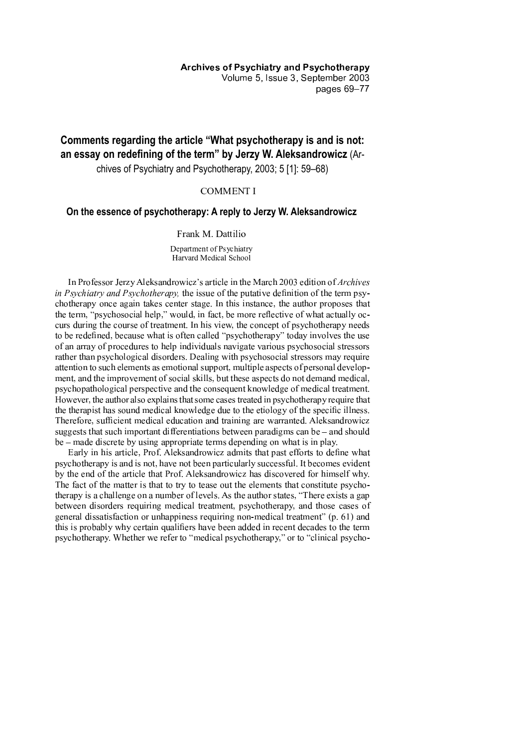**Archives of Psychiatry and Psychotherapy** Volume 5, Issue 3, September 2003 pages 69-77

# Comments regarding the article "What psychotherapy is and is not: an essay on redefining of the term" by Jerzy W. Aleksandrowicz (Ar-

chives of Psychiatry and Psychotherapy, 2003; 5 [1]: 59-68)

# **COMMENT I**

# On the essence of psychotherapy: A reply to Jerzy W. Aleksandrowicz

## Frank M. Dattilio

Department of Psychiatry Harvard Medical School

In Professor Jerzy Aleksandrowicz's article in the March 2003 edition of Archives *in Psychiatry and Psychotherapy*, the issue of the putative definition of the term psychotherapy once again takes center stage. In this instance, the author proposes that the term, "psychosocial help," would, in fact, be more reflective of what actually occurs during the course of treatment. In his view, the concept of psychotherapy needs to be redefined, because what is often called "psychotherapy" today involves the use of an array of procedures to help individuals navigate various psychosocial stressors rather than psychological disorders. Dealing with psychosocial stressors may require attention to such elements as emotional support, multiple aspects of personal development, and the improvement of social skills, but these aspects do not demand medical, psychopathological perspective and the consequent knowledge of medical treatment. However, the author also explains that some cases treated in psychotherapy require that the therapist has sound medical knowledge due to the etiology of the specific illness. Therefore, sufficient medical education and training are warranted. Aleksandrowicz suggests that such important differentiations between paradigms can be  $-$  and should be – made discrete by using appropriate terms depending on what is in play.

Early in his article, Prof. Aleksandrowicz admits that past efforts to define what psychotherapy is and is not, have not been particularly successful. It becomes evident by the end of the article that Prof. Aleksandrowicz has discovered for himself why. The fact of the matter is that to try to tease out the elements that constitute psychotherapy is a challenge on a number of levels. As the author states, "There exists a gap between disorders requiring medical treatment, psychotherapy, and those cases of general dissatisfaction or unhappiness requiring non-medical treatment" (p. 61) and this is probably why certain qualifiers have been added in recent decades to the term psychotherapy. Whether we refer to "medical psychotherapy," or to "clinical psycho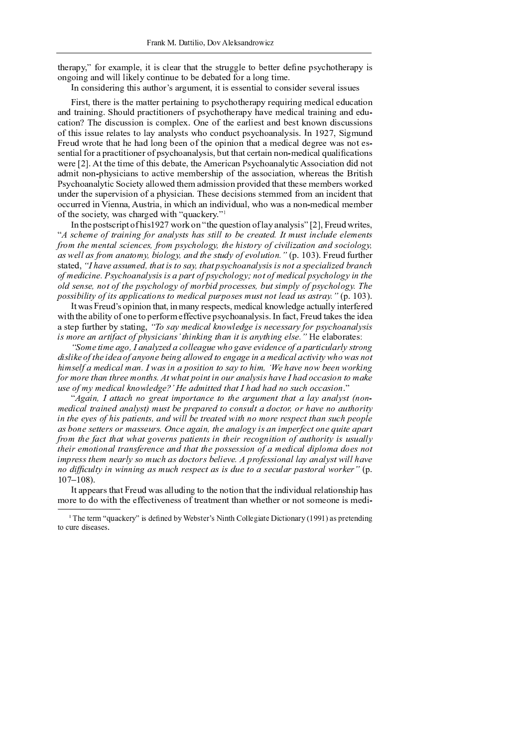therapy," for example, it is clear that the struggle to better define psychotherapy is ongoing and will likely continue to be debated for a long time.

<sup>Ä</sup> <sup>À</sup> <sup>º</sup> ´ <sup>À</sup> <sup>¹</sup> ¸ <sup>¾</sup> <sup>¬</sup> ¸ <sup>À</sup> <sup>¼</sup> <sup>ª</sup> « ¸ <sup>¹</sup> ® » <sup>ª</sup> « ´ Å ¹ ® <sup>¼</sup> » ¶ <sup>¬</sup> <sup>À</sup> <sup>ª</sup> <sup>±</sup> ¸ <sup>ª</sup> ¸ <sup>¹</sup> <sup>¬</sup> <sup>¹</sup> <sup>¹</sup> <sup>¬</sup> <sup>À</sup> <sup>ª</sup> ¸ ® · <sup>ª</sup> ´ <sup>º</sup> ´ <sup>À</sup> <sup>¹</sup> ¸ <sup>¾</sup> <sup>¬</sup> <sup>¹</sup> <sup>¬</sup> <sup>Æ</sup> <sup>¬</sup> ® · ¸ <sup>¹</sup> <sup>¹</sup> » <sup>¬</sup> <sup>¹</sup>

<sup>Ç</sup> ¸ <sup>¹</sup> <sup>ª</sup> <sup>±</sup> <sup>ª</sup> « <sup>¬</sup> <sup>¬</sup> ¸ <sup>¹</sup> <sup>ª</sup> « <sup>¬</sup> ¶ ® <sup>ª</sup> <sup>ª</sup> <sup>¬</sup> ¯ <sup>¬</sup> <sup>ª</sup> ® ¸ <sup>À</sup> ¸ <sup>À</sup> <sup>¼</sup> <sup>ª</sup> ´ ¯ <sup>¹</sup> ° <sup>º</sup> « ´ <sup>ª</sup> « <sup>¬</sup> ® ¯ ° <sup>¬</sup> <sup>È</sup> » ¸ ¸ <sup>À</sup> <sup>¼</sup> ¶ <sup>¬</sup> <sup>¾</sup> ¸ <sup>º</sup> ® · <sup>¬</sup> <sup>¾</sup> » <sup>º</sup> ® <sup>ª</sup> ¸ ´ <sup>À</sup> and training. Should practitioners of psychotherapy have medical training and education? The discussion is complex. One of the earliest and best known discussions  $\blacksquare$ <sup>Ç</sup> <sup>¬</sup> » <sup>¾</sup> <sup>Á</sup> ´ <sup>ª</sup> <sup>¬</sup> <sup>ª</sup> « ® <sup>ª</sup> « <sup>¬</sup> « ® <sup>¾</sup> · ´ <sup>À</sup> <sup>¼</sup> <sup>½</sup> <sup>¬</sup> <sup>¬</sup> <sup>À</sup> ´ <sup>³</sup> <sup>ª</sup> « <sup>¬</sup> ´ ¯ ¸ <sup>À</sup> ¸ ´ <sup>À</sup> <sup>ª</sup> « ® <sup>ª</sup> ® ¶ <sup>¬</sup> <sup>¾</sup> ¸ <sup>º</sup> ® · <sup>¾</sup> <sup>¬</sup> <sup>¼</sup> <sup>¬</sup> <sup>¬</sup> <sup>Á</sup> ® <sup>¹</sup> <sup>À</sup> ´ <sup>ª</sup> <sup>¬</sup> <sup>¹</sup> <sup>Ê</sup> sential for a practitioner of psychoanalysis, but that certain non-medical qualifications were [2]. At the time of this debate, the American Psychoanalytic Association did not admit non-physicians to active membership of the association, whereas the British Psychoanalytic Society allowed them admission provided that these members worked under the supervision of a physician. These decisions stemmed from an incident that occurred in Vienna, Austria, in which an individual, who was a non-medical member of the society, was charged with "quackery."<sup>1</sup>

 $\bf{1}$  , and  $\bf{1}$  and  $\bf{1}$  , and  $\bf{1}$  , and  $\bf{1}$  and  $\bf{1}$   $\bf{1}$  and  $\bf{1}$ "A scheme of training for analysts has still to be created. It must include elements from the mental sciences, from psychology, the history of civilization and sociology,  $\mathcal H$   $\mathcal C$  is the  $\mathcal D$  and  $\mathcal D$  in  $\mathcal D$   $\mathcal D$   $\mathcal D$   $\mathcal D$   $\mathcal D$   $\mathcal D$   $\mathcal D$   $\mathcal D$   $\mathcal D$   $\mathcal D$   $\mathcal D$   $\mathcal D$   $\mathcal D$   $\mathcal D$   $\mathcal D$   $\mathcal D$   $\mathcal D$   $\mathcal D$   $\mathcal D$   $\mathcal D$   $\mathcal D$   $\mathcal D$   $\mathcal D$   $\mathcal D$   $\mathcal D$   $\mathcal$ stated, "I have assumed, that is to say, that psychoanalysis is not a specialized branch  $\alpha$  of medicine. Psychoanalysis is a part of psychology; not of medical psychology in the  $\dot{\phi}$  old sense, not of the psychology of morbid processes, but simply of psychology. The possibility of its applications to medical purposes must not lead us astray."  $(p. 103)$ .

<sup>Ä</sup> <sup>ª</sup> <sup>Á</sup> ® <sup>¹</sup> <sup>Ç</sup> <sup>¬</sup> » <sup>¾</sup> Å ¹ ´ ¯ ¸ <sup>À</sup> ¸ ´ <sup>À</sup> <sup>ª</sup> « ® <sup>ª</sup> <sup>±</sup> ¸ <sup>À</sup> ¶ ® <sup>À</sup> ° <sup>¬</sup> <sup>¹</sup> ¯ <sup>¬</sup> <sup>º</sup> <sup>ª</sup> <sup>¹</sup> <sup>±</sup> ¶ <sup>¬</sup> <sup>¾</sup> ¸ <sup>º</sup> ® · <sup>Â</sup> <sup>À</sup> ´ <sup>Á</sup> · <sup>¬</sup> <sup>¾</sup> <sup>¼</sup> <sup>¬</sup> ® <sup>º</sup> <sup>ª</sup> » ® · · ° ¸ <sup>À</sup> <sup>ª</sup> <sup>¬</sup> <sup>³</sup> <sup>¬</sup> <sup>¬</sup> <sup>¾</sup>  $\mathcal{M}$  , and  $\mathcal{M}$  , and  $\mathcal{M}$  , and  $\mathcal{M}$  and  $\mathcal{M}$  and  $\mathcal{M}$  and  $\mathcal{M}$   $\mathcal{M}$  and  $\mathcal{M}$ a step further by stating, "To say medical knowledge is necessary for psychoanalysis  $\boldsymbol{h}$  à viê din trins and the state  $\boldsymbol{h}$  and  $\boldsymbol{h}$  and  $\boldsymbol{h}$   $\boldsymbol{h}$   $\boldsymbol{h}$   $\boldsymbol{h}$   $\boldsymbol{h}$   $\boldsymbol{h}$   $\boldsymbol{h}$   $\boldsymbol{h}$   $\boldsymbol{h}$   $\boldsymbol{h}$   $\boldsymbol{h}$   $\boldsymbol{h}$   $\boldsymbol{h}$   $\boldsymbol{h}$   $\boldsymbol{h}$   $\boldsymbol{h}$   $\boldsymbol{h}$   $\bold$ 

<sup>ù</sup> <sup>à</sup> <sup>ß</sup> <sup>Þ</sup> <sup>â</sup> å ß <sup>Þ</sup> <sup>ä</sup> <sup>ç</sup> <sup>à</sup> <sup>ï</sup> <sup>í</sup> <sup>ä</sup> <sup>æ</sup> <sup>ä</sup> è é <sup>ò</sup> <sup>Þ</sup> <sup>ë</sup> <sup>ä</sup> <sup>Ü</sup> <sup>à</sup> <sup>è</sup> <sup>è</sup> <sup>Þ</sup> <sup>ä</sup> <sup>ç</sup> <sup>î</sup> <sup>Þ</sup> <sup>ó</sup> <sup>Ý</sup> <sup>à</sup> <sup>ç</sup> <sup>ä</sup> <sup>ñ</sup> <sup>Þ</sup> <sup>Þ</sup> <sup>ñ</sup> å ë <sup>Þ</sup> <sup>æ</sup> <sup>Ü</sup> <sup>Þ</sup> <sup>à</sup> <sup>á</sup> <sup>ä</sup> <sup>ð</sup> <sup>ä</sup> <sup>ã</sup> <sup>â</sup> <sup>å</sup> <sup>Ü</sup> <sup>î</sup> <sup>è</sup> <sup>ä</sup> <sup>ã</sup> <sup>è</sup> <sup>é</sup> <sup>Û</sup> â ã <sup>à</sup> <sup>æ</sup> <sup>ç</sup> dislike of the idea of anyone being allowed to engage in a medical activity who was not  $\bm{v} = \bm{v}$  is a second and  $\bm{v} = \bm{v}$  in a second  $\bm{v}$  is a second in the  $\bm{v}$ for more than three months. At what point in our analysis have I had occasion to make <sup>î</sup> <sup>Û</sup> <sup>Þ</sup> <sup>à</sup> <sup>á</sup> <sup>ß</sup> <sup>é</sup> <sup>ß</sup> <sup>Þ</sup> <sup>ë</sup> å Ü <sup>ä</sup> <sup>è</sup> <sup>ý</sup> <sup>æ</sup> <sup>à</sup> <sup>ó</sup> <sup>è</sup> <sup>Þ</sup> <sup>ë</sup> <sup>ç</sup> <sup>Þ</sup> <sup>þ</sup> <sup>Þ</sup> <sup>ä</sup> <sup>ë</sup> <sup>ß</sup> <sup>å</sup> <sup>â</sup> <sup>â</sup> <sup>Þ</sup> <sup>ë</sup> â Ý <sup>ä</sup> <sup>â</sup> <sup>í</sup> <sup>Ý</sup> <sup>ä</sup> <sup>ë</sup> <sup>Ý</sup> <sup>ä</sup> <sup>ë</sup> <sup>æ</sup> <sup>à</sup> <sup>Û</sup> <sup>î</sup> <sup>Ü</sup> <sup>Ý</sup> <sup>à</sup> <sup>Ü</sup> <sup>Ü</sup> <sup>ä</sup> <sup>Û</sup> å à <sup>æ</sup> à ²

 $\mathcal{U}$  i a  $\mathcal{T}$  and  $\mathcal{T}$  and a function and a  $\mathcal{T}$  and  $\mathcal{T}$  and  $\mathcal{T}$  and  $\mathcal{T}$  and  $\mathcal{T}$  and  $\mathcal{T}$  and  $\mathcal{T}$  and  $\mathcal{T}$  and  $\mathcal{T}$  and  $\mathcal{T}$  and  $\mathcal{T}$  and  $\mathcal{T}$  and  $\mathcal{T}$  and  $\mathcal{T}$  and <sup>ß</sup> <sup>Þ</sup> <sup>ë</sup> <sup>å</sup> <sup>Ü</sup> <sup>ä</sup> <sup>è</sup> â ã <sup>ä</sup> å æ <sup>Þ</sup> <sup>ë</sup> <sup>ä</sup> <sup>æ</sup> <sup>ä</sup> è é <sup>Û</sup> <sup>â</sup> <sup>ß</sup> <sup>î</sup> <sup>Û</sup> <sup>â</sup> <sup>ê</sup> <sup>Þ</sup> <sup>ð</sup> <sup>ã</sup> <sup>Þ</sup> <sup>ð</sup> <sup>ä</sup> <sup>ã</sup> <sup>Þ</sup> <sup>ë</sup> <sup>â</sup> <sup>à</sup> <sup>Ü</sup> <sup>à</sup> <sup>æ</sup> <sup>Û</sup> <sup>î</sup> <sup>è</sup> <sup>â</sup> <sup>ä</sup> <sup>ë</sup> <sup>à</sup> <sup>Ü</sup> â à <sup>ã</sup> <sup>ï</sup> <sup>à</sup> <sup>ã</sup> <sup>Ý</sup> <sup>ä</sup> <sup>ñ</sup> <sup>Þ</sup> <sup>æ</sup> <sup>à</sup> <sup>ä</sup> <sup>î</sup> â Ý <sup>à</sup> <sup>ã</sup> <sup>å</sup> â é in the eves of his patients, and will be treated with no more respect than such people  $\mathcal{M}$  is a set  $\mathcal{A}$  and  $\mathcal{M}$  we will also a set  $\mathcal{A}$  and  $\mathcal{M}$  and  $\mathcal{M}$  and  $\mathcal{M}$  and  $\mathcal{M}$  and  $\mathcal{M}$  and  $\mathcal{M}$  and  $\mathcal{M}$  and  $\mathcal{M}$  and  $\mathcal{M}$  and  $\mathcal{M}$  and  $\mathcal{M}$  and  $\mathcal{M$ from the fact that what governs patients in their recognition of authority is usually their emotional transference and that the possession of a medical diploma does not impress them nearly so much as doctors believe. A professional lay analyst will have <sup>æ</sup> <sup>à</sup> <sup>ë</sup> å á <sup>Ü</sup> <sup>î</sup> <sup>è</sup> â é <sup>å</sup> <sup>æ</sup> <sup>ó</sup> å æ <sup>æ</sup> å æ <sup>ç</sup> <sup>ä</sup> <sup>Û</sup> <sup>ß</sup> <sup>î</sup> <sup>Ü</sup> <sup>Ý</sup> <sup>ã</sup> <sup>Þ</sup> <sup>Û</sup> <sup>ð</sup> <sup>Þ</sup> <sup>Ü</sup> <sup>â</sup> <sup>ä</sup> <sup>Û</sup> å Û <sup>ë</sup> <sup>î</sup> <sup>Þ</sup> <sup>â</sup> <sup>à</sup> <sup>ä</sup> <sup>Û</sup> <sup>Þ</sup> <sup>Ü</sup> <sup>î</sup> <sup>è</sup> <sup>ä</sup> <sup>ã</sup> <sup>ð</sup> <sup>ä</sup> <sup>Û</sup> â à <sup>ã</sup> <sup>ä</sup> <sup>è</sup> <sup>ó</sup> <sup>à</sup> <sup>ã</sup> <sup>ý</sup> <sup>Þ</sup> <sup>ã</sup> <sup>ô</sup> <sup>õ</sup> ¯ <sup>Ã</sup>  $\blacksquare$   $\blacksquare$   $\blacksquare$   $\blacksquare$   $\blacksquare$   $\blacksquare$   $\blacksquare$ 

<sup>Ä</sup> <sup>ª</sup> ® ¯ ¯ <sup>¬</sup> ® <sup>¹</sup> <sup>ª</sup> « ® <sup>ª</sup> <sup>Ç</sup> <sup>¬</sup> » <sup>¾</sup> <sup>Á</sup> ® <sup>¹</sup> ® · · » <sup>¾</sup> ¸ <sup>À</sup> <sup>¼</sup> <sup>ª</sup> ´ <sup>ª</sup> « <sup>¬</sup> <sup>À</sup> ´ <sup>ª</sup> ¸ ´ <sup>À</sup> <sup>ª</sup> « ® <sup>ª</sup> <sup>ª</sup> « <sup>¬</sup> ¸ <sup>À</sup> <sup>¾</sup> ¸ <sup>Æ</sup> ¸ <sup>¾</sup> » ® · <sup>¬</sup> · ® <sup>ª</sup> ¸ ´ <sup>À</sup> <sup>¹</sup> « ¸ ¯ « ® <sup>¹</sup> more to do with the effectiveness of treatment than whether or not someone is medi-

 ¤ ¤ ¨ ¤ ¥ ¦ ¤ ¤ ¦ ¤ ¥ ¤ ¥ ¤ ¤ ¨ ! ¥ " ¤ ¤ ¦  $\blacksquare$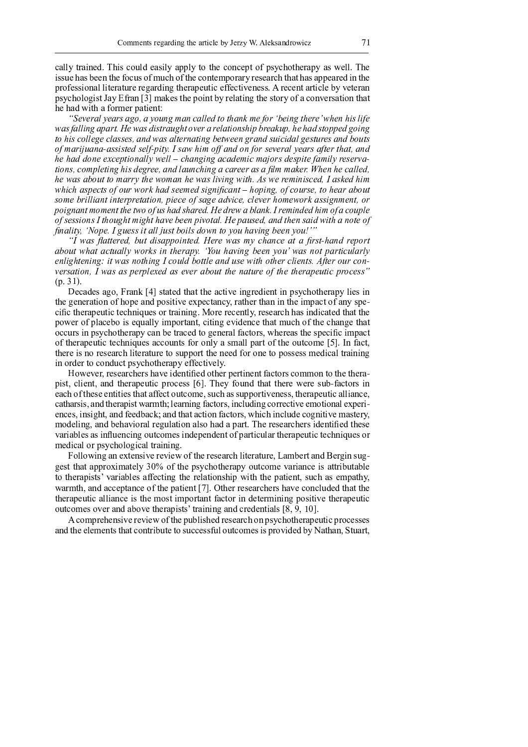cally trained. This could easily apply to the concept of psychotherapy as well. The issue has been the focus of much of the contemporary research that has appeared in the professional literature regarding therapeutic effectiveness. A recent article by veteran psychologist Jay Efran [3] makes the point by relating the story of a conversation that he had with a former patient:

 $\emph{``Several years ago, a young man called to thank me for 'being there' when his life$ was falling apart. He was distraught over a relationship breakup, he had stopped going to his college classes, and was alternating between grand suicidal gestures and bouts of marijuana-assisted self-nity. I saw him off and on for several vears after that  $\alpha$ n he had done excentionally well – changing academic majors desnite family reserva tions, completing his degree, and launching a career as a film maker. When he called, he was about to marry the woman he was living with. As we reminisced, I asked him which aspects of our work had seemed significant  $-$  hoping, of course, to hear about some brilliant interpretation, piece of sage advice, clever homework assignment, or poignant moment the two of us had shared. He drew a blank. I reminded him of a couple of sessions I thought might have been pivotal. He paused, and then said with a note of  $r_{\text{width}}$  Wane, Layes it all just holls down to you having heen you!

 $\,$ "I was flattered, but disappointed. Here was my chance at a first-hand report about what actually works in therapy. 'You having been you' was not particularly enlightening: it was nothing I could bottle and use with other clients. After our conversation, I was as perplexed as ever about the nature of the therapeutic process"  $G = 21$ 

Decedes ess. Example  $[4]$  stated that the estima incredient in neughathermy lies i the generation of hope and positive expectancy, rather than in the impact of any specific therapeutic techniques or training. More recently, research has indicated that the power of placebo is equally important, citing evidence that much of the change that occurs in psychotherapy can be traced to general factors, whereas the specific impact of therapeutic techniques accounts for only a small part of the outcome [5]. In fact, there is no research literature to support the need for one to possess medical training in order to conduct psychotherapy effectively.

 $H_{\alpha\alpha\gamma\alpha\gamma\alpha\mu}$  nogoguale ang leasta i dan tifi ad la thean nantin ant facto ng lagunaan en tal tha thean pist, client, and therapeutic process [6]. They found that there were sub-factors in each of these entities that affect outcome, such as supportiveness, therapeutic alliance, catharsis, and therapist warmth; learning factors, including corrective emotional experiences, insight, and feedback; and that action factors, which include cognitive mastery, modeling, and behavioral regulation also had a part. The researchers identified these variables as influencing outcomes independent of particular therapeutic techniques or medical or psychological training.

Following an extensive review of the research literature, Lambert and Bergin suggest that approximately 30% of the psychotherapy outcome variance is attributable to the rapists' variables affecting the relationship with the patient, such as empathy,  $\alpha$  because the logic proportion on of the motion  $\epsilon$  [7]. Other necessarily are leave a small ideal that the therapeutic alliance is the most important factor in determining positive therapeutic  $k$  antecesses are a proposale to the memister through a parallel and entirely  $\Gamma Q$  and  $\Gamma Q$ 

A comprehensive review of the published research on psychotherapeutic processes and the elements that contribute to successful outcomes is provided by Nathan, Stuart,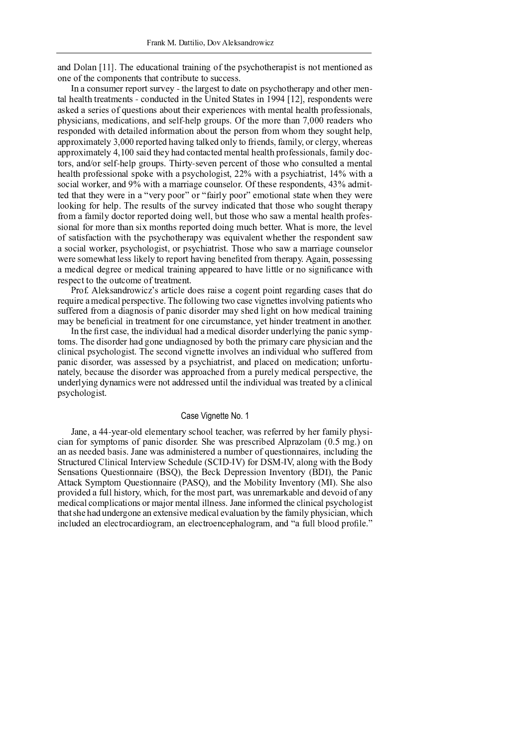and Dolan [11]. The educational training of the psychotherapist is not mentioned as one of the components that contribute to success.

In a consumer report survey - the largest to date on psychotherapy and other mental health treatments - conducted in the United States in 1994 [12], respondents were asked a series of questions about their experiences with mental health professionals, physicians, medications, and self-help groups. Of the more than 7,000 readers who responded with detailed information about the person from whom they sought help, approximately 3,000 reported having talked only to friends, family, or clergy, whereas approximately 4,100 said they had contacted mental health professionals, family doctors, and/or self-help groups. Thirty-seven percent of those who consulted a mental health professional spoke with a psychologist, 22% with a psychiatrist, 14% with a social worker, and 9% with a marriage counselor. Of these respondents, 43% admitted that they were in a "very poor" or "fairly poor" emotional state when they were looking for help. The results of the survey indicated that those who sought therapy from a family doctor reported doing well, but those who saw a mental health professional for more than six months reported doing much better. What is more, the level of satisfaction with the psychotherapy was equivalent whether the respondent saw a social worker, psychologist, or psychiatrist. Those who saw a marriage counselor were somewhat less likely to report having benefited from therapy. Again, possessing a medical degree or medical training appeared to have little or no significance with respect to the outcome of treatment.

Prof. Aleksandrowicz's article does raise a cogent point regarding cases that do require a medical perspective. The following two case vignettes involving patients who suffered from a diagnosis of panic disorder may shed light on how medical training may be beneficial in treatment for one circumstance, yet hinder treatment in another.

In the first case, the individual had a medical disorder underlying the panic symptoms. The disorder had gone undiagnosed by both the primary care physician and the clinical psychologist. The second vignette involves an individual who suffered from panic disorder, was assessed by a psychiatrist, and placed on medication; unfortunately, because the disorder was approached from a purely medical perspective, the underlying dynamics were not addressed until the individual was treated by a clinical psychologist.

### Case Vignette No. 1

Jane, a 44-year-old elementary school teacher, was referred by her family physician for symptoms of panic disorder. She was prescribed Alprazolam (0.5 mg.) on an as needed basis. Jane was administered a number of questionnaires, including the Structured Clinical Interview Schedule (SCID-IV) for DSM-IV, along with the Body Sensations Questionnaire (BSQ), the Beck Depression Inventory (BDI), the Panic Attack Symptom Ouestionnaire (PASO), and the Mobility Inventory (MI). She also provided a full history, which, for the most part, was unremarkable and devoid of any medical complications or major mental illness. Jane informed the clinical psychologist that she had undergone an extensive medical evaluation by the family physician, which included an electrocardiogram, an electroencephalogram, and "a full blood profile."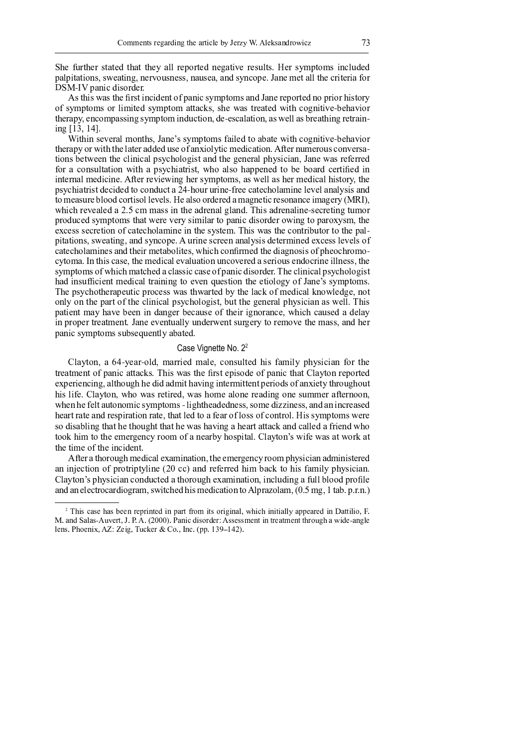She further stated that they all reported negative results. Her symptoms included palpitations, sweating, nervousness, nausea, and syncope. Jane met all the criteria for DSM-IV panic disorder.

As this was the first incident of panic symptoms and Jane reported no prior history of symptoms or limited symptom attacks, she was treated with cognitive-behavior therapy, encompassing symptom induction, de-escalation, as well as breathing retraining  $[13, 14]$ .

Within several months, Jane's symptoms failed to abate with cognitive-behavior therapy or with the later added use of anxiolytic medication. After numerous conversations between the clinical psychologist and the general physician, Jane was referred for a consultation with a psychiatrist, who also happened to be board certified in internal medicine. After reviewing her symptoms, as well as her medical history, the psychiatrist decided to conduct a 24-hour urine-free catecholamine level analysis and to measure blood cortisol levels. He also ordered a magnetic resonance imagery (MRI), which revealed a 2.5 cm mass in the adrenal gland. This adrenaline-secreting tumor produced symptoms that were very similar to panic disorder owing to paroxysm, the excess secretion of catecholamine in the system. This was the contributor to the palpitations, sweating, and syncope. A urine screen analysis determined excess levels of cate cholamines and their metabolites, which confirmed the diagnosis of pheochromocytoma. In this case, the medical evaluation uncovered a serious endocrine illness, the symptoms of which matched a classic case of panic disorder. The clinical psychologist had insufficient medical training to even question the etiology of Jane's symptoms. The psychotherapeutic process was thwarted by the lack of medical knowledge, not only on the part of the clinical psychologist, but the general physician as well. This patient may have been in danger because of their ignorance, which caused a delay in proper treatment. Jane eventually underwent surgery to remove the mass, and her panic symptoms subsequently abated.

#### Case Vignette No. 2<sup>2</sup>

Clayton, a 64-year-old, married male, consulted his family physician for the treatment of panic attacks. This was the first episode of panic that Clayton reported experiencing, although he did admit having intermittent periods of anxiety throughout his life. Clayton, who was retired, was home alone reading one summer afternoon, when he felt autonomic symptoms - lightheadedness, some dizziness, and an increased heart rate and respiration rate, that led to a fear of loss of control. His symptoms were so disabling that he thought that he was having a heart attack and called a friend who took him to the emergency room of a nearby hospital. Clayton's wife was at work at the time of the incident.

After a thorough medical examination, the emergency room physician administered an injection of protriptyline (20 cc) and referred him back to his family physician. Clayton's physician conducted a thorough examination, including a full blood profile and an electrocardiogram, switched his medication to Alprazolam, (0.5 mg, 1 tab. p.r.n.)

<sup>&</sup>lt;sup>2</sup> This case has been reprinted in part from its original, which initially appeared in Dattilio, F. M. and Salas-Auvert, J. P. A. (2000). Panic disorder: Assessment in treatment through a wide-angle lens. Phoenix, AZ: Zeig, Tucker & Co., Inc. (pp. 139-142).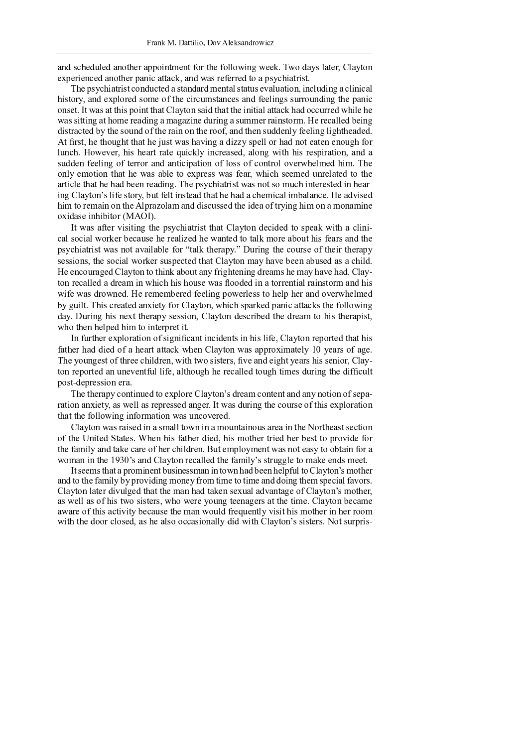and scheduled another appointment for the following week. Two days later, Clayton experienced another panic attack, and was referred to a psychiatrist.

The psychiatrist conducted a standard mental status evaluation, including a clinical history, and explored some of the circumstances and feelings surrounding the panic onset. It was at this point that Clayton said that the initial attack had occurred while he was sitting at home reading a magazine during a summer rainstorm. He recalled being distracted by the sound of the rain on the roof, and then suddenly feeling lightheaded.  $\lambda$  +  $\theta$  wether the undertitled the instrumental conjugate of digree small and not extensive operator.  $f_{\alpha}$ lunch. However, his heart rate quickly increased, along with his respiration, and a sudden feeling of terror and anticipation of loss of control overwhelmed him. The only emotion that he was able to express was fear, which seemed unrelated to the article that he had been reading. The psychiatrist was not so much interested in hearing Clayton's life story, but felt instead that he had a chemical imbalance. He advised  $\mathbf{b}$  in to nome in an the Almostolem and discussed the idea of twins a him an amonomic <sup>~</sup> <sup>w</sup> <sup>u</sup> <sup>x</sup> { <sup>v</sup> <sup>z</sup> <sup>~</sup>

It was after visiting the psychiatrist that Clayton decided to speak with a clinical social worker because he realized he wanted to talk more about his fears and the psychiatrist was not available for "talk therapy." During the course of their therapy sessions, the social worker suspected that Clayton may have been abused as a child. He encouraged Clayton to think about any frightening dreams he may have had. Clayton recalled a dream in which his house was flooded in a torrential rainstorm and his wife was drowned. He remembered feeling powerless to help her and overwhelmed by guilt. This created anxiety for Clayton, which sparked panic attacks the following day. During his next therapy session, Clayton described the dream to his therapist, who then helped him to interpret it.

In further exploration of significant incidents in his life. Clayton reported that his father had died of a heart attack when Clayton was approximately 10 years of age. The youngest of three children, with two sisters, five and eight years his senior, Clayton reported an uneventful life, although he recalled tough times during the difficult post-depression era.

The therapy continued to explore Clayton's dream content and any notion of separation anxiety, as well as repressed anger. It was during the course of this exploration that the following information was uncovered.

Clayton was raised in a small town in a mountainous area in the Northeast section of the United States. When his father died, his mother tried her best to provide for the family and take care of her children. But employment was not easy to obtain for a woman in the 1930's and Clayton recalled the family's struggle to make ends meet.

It seems that a prominent businessman in town had been helpful to Clayton's mother and to the family by providing money from time to time and doing them special favors. Clayton later divulged that the man had taken sexual advantage of Clayton's mother, as well as of his two sisters, who were young teenagers at the time. Clayton became aware of this activity because the man would frequently visit his mother in her room with the door closed, as he also occasionally did with Clayton's sisters. Not surpris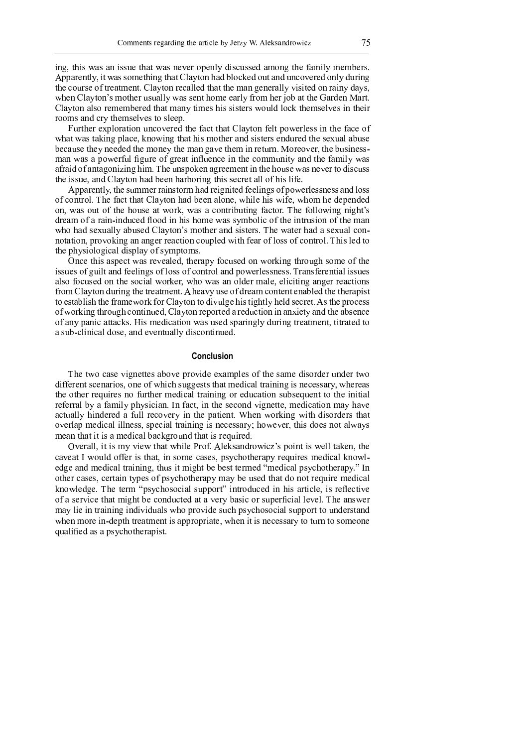ing, this was an issue that was never openly discussed among the family members. <sup>Û</sup> <sup>Ò</sup> <sup>Ò</sup> <sup>Ì</sup> <sup>Ð</sup> <sup>Î</sup> <sup>Å</sup> <sup>È</sup> <sup>Ó</sup> <sup>Ô</sup> <sup>Ç</sup> <sup>Ä</sup> <sup>È</sup> <sup>Ë</sup> <sup>Ì</sup> <sup>Ê</sup> <sup>Ê</sup> <sup>Ñ</sup> <sup>×</sup> <sup>Î</sup> <sup>È</sup> <sup>É</sup> <sup>Ä</sup> <sup>Å</sup> <sup>Æ</sup> <sup>È</sup> <sup>É</sup> <sup>Ì</sup> <sup>È</sup> <sup>Ü</sup> <sup>Ó</sup> <sup>Ì</sup> <sup>Ô</sup> <sup>È</sup> <sup>Ñ</sup> <sup>Å</sup> <sup>É</sup> <sup>Ì</sup> <sup>Õ</sup> <sup>Ù</sup> <sup>Ó</sup> <sup>Ñ</sup> <sup>Ö</sup> <sup>Ý</sup> <sup>Î</sup> <sup>Õ</sup> <sup>Ñ</sup> <sup>Í</sup> <sup>È</sup> <sup>Ì</sup> <sup>Å</sup> <sup>Õ</sup> <sup>Í</sup> <sup>Å</sup> <sup>Ö</sup> <sup>Ñ</sup> <sup>Ï</sup> <sup>Î</sup> <sup>Ð</sup> <sup>Î</sup> <sup>Õ</sup> <sup>Ñ</sup> <sup>Å</sup> <sup>Ó</sup> <sup>Ô</sup> <sup>Õ</sup> <sup>Í</sup> <sup>Ð</sup> <sup>Ä</sup> <sup>Å</sup> <sup>Æ</sup> the course of treatment. Clayton recalled that the man generally visited on rainy days, when Clayton's mother usually was sent home early from her job at the Garden Mart. Clayton also remembered that many times his sisters would lock themselves in their rooms and cry themselves to sleep.

<sup>â</sup> <sup>Í</sup> <sup>Ð</sup> <sup>È</sup> <sup>É</sup> <sup>Î</sup> <sup>Ð</sup> <sup>Î</sup> <sup>ã</sup> <sup>Ò</sup> <sup>Ó</sup> <sup>Ñ</sup> <sup>Ð</sup> <sup>Ì</sup> <sup>È</sup> <sup>Ä</sup> <sup>Ñ</sup> <sup>Å</sup> <sup>Í</sup> <sup>Å</sup> <sup>Ö</sup> <sup>Ñ</sup> <sup>Ï</sup> <sup>Î</sup> <sup>Ð</sup> <sup>Î</sup> <sup>Õ</sup> <sup>È</sup> <sup>É</sup> <sup>Î</sup> <sup>Ø</sup> <sup>Ì</sup> <sup>Ö</sup> <sup>È</sup> <sup>È</sup> <sup>É</sup> <sup>Ì</sup> <sup>È</sup> <sup>Ü</sup> <sup>Ó</sup> <sup>Ì</sup> <sup>Ô</sup> <sup>È</sup> <sup>Ñ</sup> <sup>Å</sup> <sup>Ø</sup> <sup>Î</sup> <sup>Ó</sup> <sup>È</sup> <sup>Ò</sup> <sup>Ñ</sup> <sup>Ë</sup> <sup>Î</sup> <sup>Ð</sup> <sup>Ó</sup> <sup>Î</sup> <sup>Ê</sup> <sup>Ê</sup> <sup>Ä</sup> <sup>Å</sup> <sup>È</sup> <sup>É</sup> <sup>Î</sup> <sup>Ø</sup> <sup>Ì</sup> <sup>Ö</sup> <sup>Î</sup> <sup>Ñ</sup> <sup>Ø</sup> what was taking place, knowing that his mother and sisters endured the sexual abuse because they needed the money the man gave them in return. Moreover, the businessman was a powerful figure of great influence in the community and the family was afraid of antagonizing him. The unspoken agreement in the house was never to discuss the issue, and Clayton had been harboring this secret all of his life.

 $\dot{\alpha}$  , and the constant of the constant of the constant of the constant of the constant of the constant of  $\dot{\alpha}$ of control. The fact that Clayton had been alone, while his wife, whom he depended on, was out of the house at work, was a contributing factor. The following night's dream of a rain-induced flood in his home was symbolic of the intrusion of the man who had sexually abused Clayton's mother and sisters. The water had a sexual connotation, provoking an anger reaction coupled with fear of loss of control. This led to the physiological display of symptoms.

<sup>é</sup> <sup>Å</sup> <sup>Ö</sup> <sup>Î</sup> <sup>È</sup> <sup>É</sup> <sup>Ä</sup> <sup>Ê</sup> <sup>Ì</sup> <sup>Ê</sup> <sup>Ò</sup> <sup>Î</sup> <sup>Ö</sup> <sup>È</sup> <sup>Ë</sup> <sup>Ì</sup> <sup>Ê</sup> <sup>Ð</sup> <sup>Î</sup> <sup>Ï</sup> <sup>Î</sup> <sup>Ì</sup> <sup>Ó</sup> <sup>Î</sup> <sup>Õ</sup> <sup>Ç</sup> <sup>È</sup> <sup>É</sup> <sup>Î</sup> <sup>Ð</sup> <sup>Ì</sup> <sup>Ò</sup> <sup>Ô</sup> <sup>Ø</sup> <sup>Ñ</sup> <sup>Ö</sup> <sup>Í</sup> <sup>Ê</sup> <sup>Î</sup> <sup>Õ</sup> <sup>Ñ</sup> <sup>Å</sup> <sup>Ë</sup> <sup>Ñ</sup> <sup>Ð</sup> <sup>Ý</sup> <sup>Ä</sup> <sup>Å</sup> <sup>Æ</sup> <sup>È</sup> <sup>É</sup> <sup>Ð</sup> <sup>Ñ</sup> <sup>Í</sup> <sup>Æ</sup> <sup>É</sup> <sup>Ê</sup> <sup>Ñ</sup> <sup>×</sup> <sup>Î</sup> <sup>Ñ</sup> <sup>Ø</sup> <sup>È</sup> <sup>É</sup> <sup>Î</sup> issues of guilt and feelings of loss of control and powerlessness. Transferential issues also focused on the social worker, who was an older male, eliciting anger reactions  $\bullet$  is the final field of the final field  $\bullet$  is the final field  $\bullet$  of  $\bullet$  is the final field  $\bullet$   $\bullet$   $\bullet$ <sup>È</sup> <sup>Ñ</sup> <sup>Î</sup> <sup>Ê</sup> <sup>È</sup> <sup>Ì</sup> <sup>Ù</sup> <sup>Ó</sup> <sup>Ä</sup> <sup>Ê</sup> <sup>É</sup> <sup>È</sup> <sup>É</sup> <sup>Î</sup> <sup>Ø</sup> <sup>Ð</sup> <sup>Ì</sup> <sup>×</sup> <sup>Î</sup> <sup>Ë</sup> <sup>Ñ</sup> <sup>Ð</sup> <sup>Ý</sup> <sup>Ø</sup> <sup>Ñ</sup> <sup>Ð</sup> <sup>Ü</sup> <sup>Ó</sup> <sup>Ì</sup> <sup>Ô</sup> <sup>È</sup> <sup>Ñ</sup> <sup>Å</sup> <sup>È</sup> <sup>Ñ</sup> <sup>Õ</sup> <sup>Ä</sup> <sup>Ï</sup> <sup>Í</sup> <sup>Ó</sup> <sup>Æ</sup> <sup>Î</sup> <sup>É</sup> <sup>Ä</sup> <sup>Ê</sup> <sup>È</sup> <sup>Ä</sup> <sup>Æ</sup> <sup>É</sup> <sup>È</sup> <sup>Ó</sup> <sup>Ô</sup> <sup>É</sup> <sup>Î</sup> <sup>Ó</sup> <sup>Õ</sup> <sup>Ê</sup> <sup>Î</sup> <sup>Ö</sup> <sup>Ð</sup> <sup>Î</sup> <sup>È</sup> <sup>Ú</sup> <sup>Û</sup> <sup>Ê</sup> <sup>È</sup> <sup>É</sup> <sup>Î</sup> <sup>Ò</sup> <sup>Ð</sup> <sup>Ñ</sup> <sup>Ö</sup> <sup>Î</sup> <sup>Ê</sup> <sup>Ê</sup> of working through continued, Clayton reported a reduction in anxiety and the absence of any panic attacks. His medication was used sparingly during treatment, titrated to a sub-clinical dose, and eventually discontinued.

### **Conclusion**

The two case vignettes above provide examples of the same disorder under two different scenarios, one of which suggests that medical training is necessary, whereas the other requires no further medical training or education subsequent to the initial referral by a family physician. In fact, in the second vignette, medication may have actually hindered a full recovery in the patient. When working with disorders that overlap medical illness, special training is necessary; however, this does not always mean that it is a medical background that is required.

<sup>é</sup> <sup>Ï</sup> <sup>Î</sup> <sup>Ð</sup> <sup>Ì</sup> <sup>Ó</sup> <sup>Ó</sup> <sup>Ç</sup> <sup>Ä</sup> <sup>È</sup> <sup>Ä</sup> <sup>Ê</sup> <sup>×</sup> <sup>Ô</sup> <sup>Ï</sup> <sup>Ä</sup> <sup>Î</sup> <sup>Ë</sup> <sup>È</sup> <sup>É</sup> <sup>Ì</sup> <sup>È</sup> <sup>Ë</sup> <sup>É</sup> <sup>Ä</sup> <sup>Ó</sup> <sup>Î</sup> <sup>ï</sup> <sup>Ð</sup> <sup>Ñ</sup> <sup>Ø</sup> <sup>Ú</sup> <sup>Û</sup> <sup>Ó</sup> <sup>Î</sup> <sup>Ý</sup> <sup>Ê</sup> <sup>Ì</sup> <sup>Å</sup> <sup>Õ</sup> <sup>Ð</sup> <sup>Ñ</sup> <sup>Ë</sup> <sup>Ä</sup> <sup>Ö</sup> <sup>ç</sup> Þ Ê <sup>Ò</sup> <sup>Ñ</sup> <sup>Ä</sup> <sup>Å</sup> <sup>È</sup> <sup>Ä</sup> <sup>Ê</sup> <sup>Ë</sup> <sup>Î</sup> <sup>Ó</sup> <sup>Ó</sup> <sup>È</sup> <sup>Ì</sup> <sup>Ý</sup> <sup>Î</sup> <sup>Å</sup> <sup>Ç</sup> <sup>È</sup> <sup>É</sup> <sup>Î</sup> caveat I would offer is that, in some cases, psychotherapy requires medical knowledge and medical training, thus it might be best termed "medical psychotherapy." In other cases, certain types of psychotherapy may be used that do not require medical knowledge. The term "psychosocial support" introduced in his article, is reflective of a service that might be conducted at a very basic or superficial level. The answer may lie in training individuals who provide such psychosocial support to understand when more in-depth treatment is appropriate, when it is necessary to turn to someone qualified as a psychotherapist.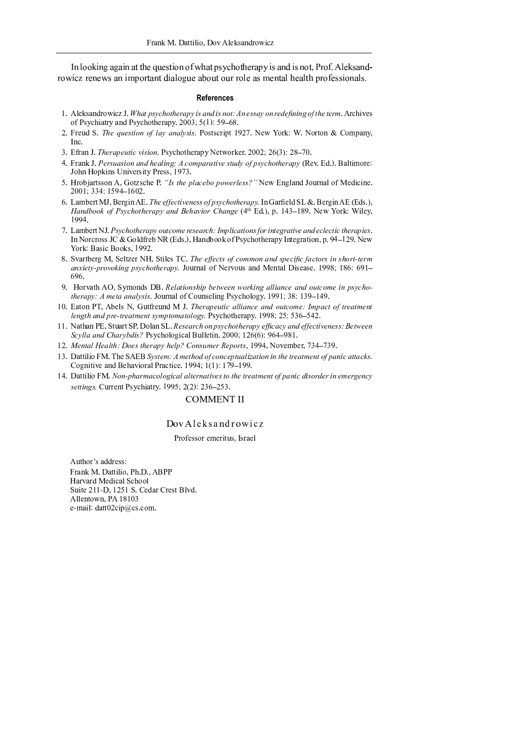In looking again at the question of what psychotherapy is and is not, Prof. Aleksandrowicz renews an important dialogue about our role as mental health professionals.

#### **References**

- 1. Aleksandrowicz J. What psychotherapy is and is not: An essay on redefining of the term. Archives of Psychiatry and Psychotherapy. 2003; 5(1): 59-68.
- 2. Freud S. The question of lay analysis. Postscript 1927. New York: W. Norton & Company, Inc.
- 3. Efran J. Therapeutic vision. Psychotherapy Networker. 2002; 26(3): 28-70.
- 4. Frank J. Persuasion and healing: A comparative study of psychotherapy (Rev. Ed.). Baltimore: John Hopkins University Press, 1973.
- 5. Hrobjartsson A, Gotzsche P. "Is the placebo powerless?" New England Journal of Medicine. 2001; 334: 1594-1602.
- 6. Lambert MJ, Bergin AE. The effectiveness of psychotherapy. In Garfield SL &. Bergin AE (Eds.), Handbook of Psychotherapy and Behavior Change (4th Ed.), p. 143–189. New York: Wiley, 1994.
- 7. Lambert NJ. Psychotherapy outcome research: Implications for integrative and eclectic therapies. In Norcross JC & Goldfreb NR (Eds.), Handbook of Psychotherapy Integration, p. 94–129. New York: Basic Books, 1992.
- 8. Svartberg M, Seltzer NH, Stiles TC. The effects of common and specific factors in short-term anxiety-provoking psychotherapy. Journal of Nervous and Mental Disease. 1998; 186: 691-696.
- 9. Horvath AO, Symonds DB. Relationship between working alliance and outcome in psychotherapy: A meta analysis. Journal of Counseling Psychology. 1991; 38: 139-149.
- 10. Eaton PT, Abels N, Gutfreund M J. Therapeutic alliance and outcome: Impact of treatment length and pre-treatment symptomatology. Psychotherapy. 1998; 25: 536-542.
- 11. Nathan PE, Stuart SP, Dolan SL. Research on psychotherapy efficacy and effectiveness: Between Scylla and Charybdis? Psychological Bulletin. 2000; 126(6): 964-981.
- 12. Mental Health: Does therapy help? Consumer Reports, 1994, November, 734-739.
- 13. Dattilio FM. The SAEB System: A method of conceptualization in the treatment of panic attacks. Cognitive and Behavioral Practice. 1994; 1(1): 179-199.
- 14. Dattilio FM. Non-pharmacological alternatives to the treatment of panic disorder in emergency settings. Current Psychiatry. 1995; 2(2): 236-253.

# **COMMENT II**

## DovAleksandrowicz

#### Professor emeritus, Israel

Author's address: Frank M. Dattilio, Ph.D., ABPP Harvard Medical School Suite 211-D, 1251 S. Cedar Crest Blvd. Allentown, PA 18103 e-mail: datt02cip@cs.com.